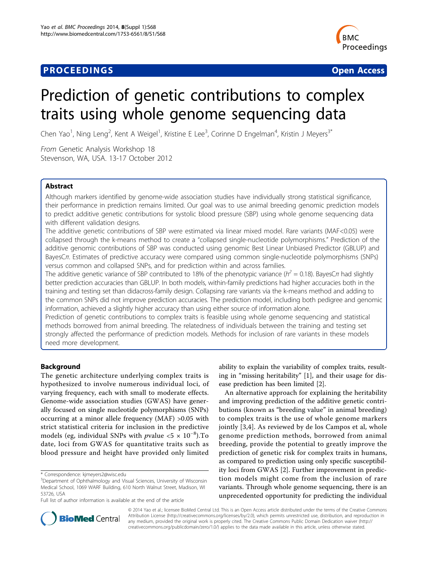## **PROCEEDINGS CONSUMING S** Open Access **CONSUMING S**



# Prediction of genetic contributions to complex traits using whole genome sequencing data

Chen Yao<sup>1</sup>, Ning Leng<sup>2</sup>, Kent A Weigel<sup>1</sup>, Kristine E Lee<sup>3</sup>, Corinne D Engelman<sup>4</sup>, Kristin J Meyers<sup>3\*</sup>

From Genetic Analysis Workshop 18 Stevenson, WA, USA. 13-17 October 2012

## Abstract

Although markers identified by genome-wide association studies have individually strong statistical significance, their performance in prediction remains limited. Our goal was to use animal breeding genomic prediction models to predict additive genetic contributions for systolic blood pressure (SBP) using whole genome sequencing data with different validation designs.

The additive genetic contributions of SBP were estimated via linear mixed model. Rare variants (MAF<0.05) were collapsed through the k-means method to create a "collapsed single-nucleotide polymorphisms." Prediction of the additive genomic contributions of SBP was conducted using genomic Best Linear Unbiased Predictor (GBLUP) and BayesCπ. Estimates of predictive accuracy were compared using common single-nucleotide polymorphisms (SNPs) versus common and collapsed SNPs, and for prediction within and across families.

The additive genetic variance of SBP contributed to 18% of the phenotypic variance ( $h^2 = 0.18$ ). BayesC $\pi$  had slightly better prediction accuracies than GBLUP. In both models, within-family predictions had higher accuracies both in the training and testing set than didacross-family design. Collapsing rare variants via the k-means method and adding to the common SNPs did not improve prediction accuracies. The prediction model, including both pedigree and genomic information, achieved a slightly higher accuracy than using either source of information alone.

Prediction of genetic contributions to complex traits is feasible using whole genome sequencing and statistical methods borrowed from animal breeding. The relatedness of individuals between the training and testing set strongly affected the performance of prediction models. Methods for inclusion of rare variants in these models need more development.

## Background

The genetic architecture underlying complex traits is hypothesized to involve numerous individual loci, of varying frequency, each with small to moderate effects. Genome-wide association studies (GWAS) have generally focused on single nucleotide polymorphisms (SNPs) occurring at a minor allele frequency (MAF) >0.05 with strict statistical criteria for inclusion in the predictive models (eg, individual SNPs with *p*value <5  $\times$  10<sup>-8</sup>).To date, loci from GWAS for quantitative traits such as blood pressure and height have provided only limited

ability to explain the variability of complex traits, resulting in "missing heritability" [\[1](#page-5-0)], and their usage for disease prediction has been limited [[2](#page-5-0)].

An alternative approach for explaining the heritability and improving prediction of the additive genetic contributions (known as "breeding value" in animal breeding) to complex traits is the use of whole genome markers jointly [[3,4](#page-5-0)]. As reviewed by de los Campos et al, whole genome prediction methods, borrowed from animal breeding, provide the potential to greatly improve the prediction of genetic risk for complex traits in humans, as compared to prediction using only specific susceptibility loci from GWAS [[2](#page-5-0)]. Further improvement in prediction models might come from the inclusion of rare variants. Through whole genome sequencing, there is an unprecedented opportunity for predicting the individual



© 2014 Yao et al.; licensee BioMed Central Ltd. This is an Open Access article distributed under the terms of the Creative Commons Attribution License [\(http://creativecommons.org/licenses/by/2.0](http://creativecommons.org/licenses/by/2.0)), which permits unrestricted use, distribution, and reproduction in any medium, provided the original work is properly cited. The Creative Commons Public Domain Dedication waiver [\(http://](http://creativecommons.org/publicdomain/zero/1.0/) [creativecommons.org/publicdomain/zero/1.0/](http://creativecommons.org/publicdomain/zero/1.0/)) applies to the data made available in this article, unless otherwise stated.

<sup>\*</sup> Correspondence: [kjmeyers2@wisc.edu](mailto:kjmeyers2@wisc.edu)

<sup>&</sup>lt;sup>3</sup>Department of Ophthalmology and Visual Sciences, University of Wisconsin Medical School, 1069 WARF Building, 610 North Walnut Street, Madison, WI 53726, USA

Full list of author information is available at the end of the article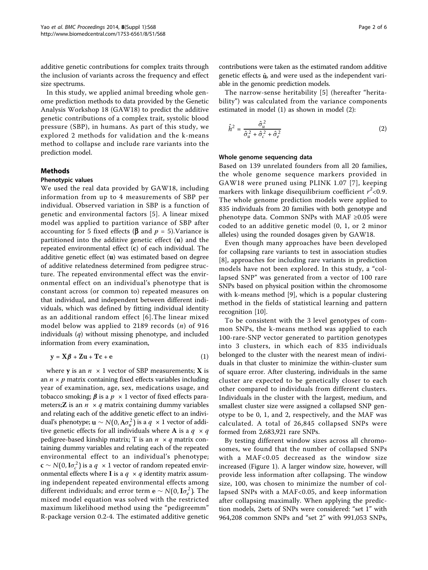additive genetic contributions for complex traits through the inclusion of variants across the frequency and effect size spectrums.

In this study, we applied animal breeding whole genome prediction methods to data provided by the Genetic Analysis Workshop 18 (GAW18) to predict the additive genetic contributions of a complex trait, systolic blood pressure (SBP), in humans. As part of this study, we explored 2 methods for validation and the k-means method to collapse and include rare variants into the prediction model.

## Methods

#### Phenotypic values

We used the real data provided by GAW18, including information from up to 4 measurements of SBP per individual. Observed variation in SBP is a function of genetic and environmental factors [[5\]](#page-5-0). A linear mixed model was applied to partition variance of SBP after accounting for 5 fixed effects ( $\beta$  and  $p = 5$ ). Variance is partitioned into the additive genetic effect  $(u)$  and the repeated environmental effect (c) of each individual. The additive genetic effect  $(u)$  was estimated based on degree of additive relatedness determined from pedigree structure. The repeated environmental effect was the environmental effect on an individual's phenotype that is constant across (or common to) repeated measures on that individual, and independent between different individuals, which was defined by fitting individual identity as an additional random effect [[6](#page-5-0)].The linear mixed model below was applied to 2189 records  $(n)$  of 916 individuals  $(q)$  without missing phenotype, and included information from every examination,

$$
y = X\beta + Zu + Tc + e \tag{1}
$$

where **y** is an  $n \times 1$  vector of SBP measurements; **X** is an  $n \times p$  matrix containing fixed effects variables including year of examination, age, sex, medications usage, and tobacco smoking;  $\beta$  is a  $p \times 1$  vector of fixed effects parameters; **Z** is an  $n \times q$  matrix containing dummy variables and relating each of the additive genetic effect to an individual's phenotype; **u** ∼ *N*(0,  $A\sigma_u^2$ ) is a  $q \times 1$  vector of additive genetic effects for all individuals where **A** is a  $q \times q$ pedigree-based kinship matrix; T is an  $n \times q$  matrix containing dummy variables and relating each of the repeated environmental effect to an individual's phenotype; **c** ∼ *N*(0, **I** $\sigma_c^2$ ) is a  $q \times 1$  vector of random repeated environmental effects where **I** is a  $q \times q$  identity matrix assuming independent repeated environmental effects among different individuals; and error term **e** ∼ *N*(0,**I** $\sigma_e^2$ ). The mixed model equation was solved with the restricted maximum likelihood method using the "pedigreemm" R-package version 0.2-4. The estimated additive genetic

The narrow-sense heritability [\[5](#page-5-0)] (hereafter "heritability") was calculated from the variance components estimated in model (1) as shown in model (2):

$$
\hat{h}^2 = \frac{\hat{\sigma}_u^2}{\hat{\sigma}_u^2 + \hat{\sigma}_c^2 + \hat{\sigma}_e^2}
$$
 (2)

#### Whole genome sequencing data

Based on 139 unrelated founders from all 20 families, the whole genome sequence markers provided in GAW18 were pruned using PLINK 1.07 [[7](#page-5-0)], keeping markers with linkage disequilibrium coefficient  $r^2$ <0.9. The whole genome prediction models were applied to 835 individuals from 20 families with both genotype and phenotype data. Common SNPs with MAF ≥0.05 were coded to an additive genetic model (0, 1, or 2 minor alleles) using the rounded dosages given by GAW18.

Even though many approaches have been developed for collapsing rare variants to test in association studies [[8\]](#page-5-0), approaches for including rare variants in prediction models have not been explored. In this study, a "collapsed SNP" was generated from a vector of 100 rare SNPs based on physical position within the chromosome with k-means method [\[9](#page-5-0)], which is a popular clustering method in the fields of statistical learning and pattern recognition [\[10](#page-5-0)].

To be consistent with the 3 level genotypes of common SNPs, the k-means method was applied to each 100-rare-SNP vector generated to partition genotypes into 3 clusters, in which each of 835 individuals belonged to the cluster with the nearest mean of individuals in that cluster to minimize the within-cluster sum of square error. After clustering, individuals in the same cluster are expected to be genetically closer to each other compared to individuals from different clusters. Individuals in the cluster with the largest, medium, and smallest cluster size were assigned a collapsed SNP genotype to be 0, 1, and 2, respectively, and the MAF was calculated. A total of 26,845 collapsed SNPs were formed from 2,683,921 rare SNPs.

By testing different window sizes across all chromosomes, we found that the number of collapsed SNPs with a MAF<0.05 decreased as the window size increased (Figure [1](#page-2-0)). A larger window size, however, will provide less information after collapsing. The window size, 100, was chosen to minimize the number of collapsed SNPs with a MAF<0.05, and keep information after collapsing maximally. When applying the prediction models, 2sets of SNPs were considered: "set 1" with 964,208 common SNPs and "set 2" with 991,053 SNPs,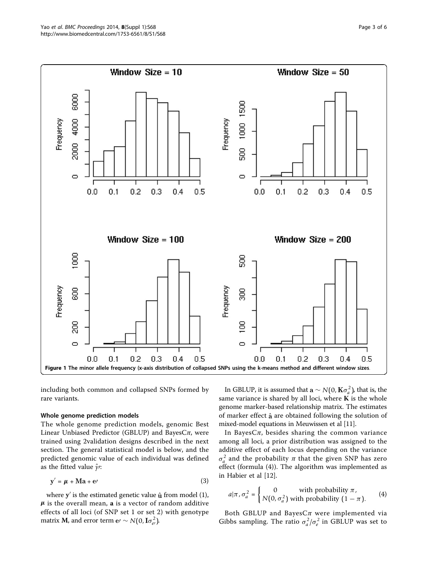<span id="page-2-0"></span>

including both common and collapsed SNPs formed by rare variants.

### Whole genome prediction models

The whole genome prediction models, genomic Best Linear Unbiased Predictor (GBLUP) and BayesC $\pi$ , were trained using 2validation designs described in the next section. The general statistical model is below, and the predicted genomic value of each individual was defined as the fitted value  $\hat{y}$ *:* 

$$
y' = \mu + Ma + e'
$$
 (3)

where  $y'$  is the estimated genetic value  $\hat{u}$  from model (1),  $\mu$  is the overall mean, **a** is a vector of random additive effects of all loci (of SNP set 1 or set 2) with genotype matrix **M**, and error term **e** ⁄  $\sim N(0, I\sigma_e^2)$ .

In GBLUP, it is assumed that  $\mathbf{a} \sim N(0, \mathbf{K}\sigma_a^2)$ , that is, the same variance is shared by all loci, where  $K$  is the whole genome marker-based relationship matrix. The estimates of marker effect  $\hat{a}$  are obtained following the solution of mixed-model equations in Meuwissen et al [[11](#page-5-0)].

In Bayes $C_{\pi}$ , besides sharing the common variance among all loci, a prior distribution was assigned to the additive effect of each locus depending on the variance  $\sigma_a^2$  and the probability  $\pi$  that the given SNP has zero effect (formula (4)). The algorithm was implemented as in Habier et al [[12\]](#page-5-0).

$$
a|\pi, \sigma_a^2 = \begin{cases} 0 & \text{with probability } \pi, \\ N(0, \sigma_a^2) & \text{with probability } (1 - \pi). \end{cases}
$$
 (4)

Both GBLUP and Bayes $C\pi$  were implemented via Gibbs sampling. The ratio  $\sigma_a^2/\sigma_e^2$  in GBLUP was set to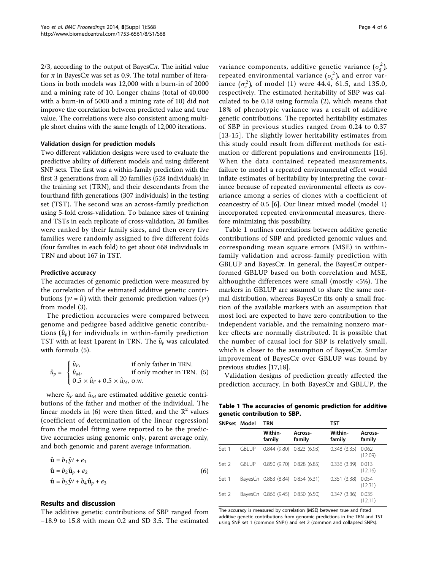<span id="page-3-0"></span>2/3, according to the output of BayesC $\pi$ . The initial value for  $\pi$  in BayesC $\pi$  was set as 0.9. The total number of iterations in both models was 12,000 with a burn-in of 2000 and a mining rate of 10. Longer chains (total of 40,000 with a burn-in of 5000 and a mining rate of 10) did not improve the correlation between predicted value and true value. The correlations were also consistent among multiple short chains with the same length of 12,000 iterations.

## Validation design for prediction models

Two different validation designs were used to evaluate the predictive ability of different models and using different SNP sets. The first was a within-family prediction with the first 3 generations from all 20 families (528 individuals) in the training set (TRN), and their descendants from the fourthand fifth generations (307 individuals) in the testing set (TST). The second was an across-family prediction using 5-fold cross-validation. To balance sizes of training and TSTs in each replicate of cross-validation, 20 families were ranked by their family sizes, and then every five families were randomly assigned to five different folds (four families in each fold) to get about 668 individuals in TRN and about 167 in TST.

#### Predictive accuracy

The accuracies of genomic prediction were measured by the correlation of the estimated additive genetic contributions ( $\gamma = \hat{u}$ ) with their genomic prediction values ( $\gamma$ ) from model (3).

The prediction accuracies were compared between genome and pedigree based additive genetic contributions  $(\hat{u}_p)$  for individuals in within-family prediction TST with at least 1 parent in TRN. The  $\hat{u}_p$  was calculated with formula (5).

$$
\hat{u}_p = \begin{cases} \hat{u}_F, & \text{if only father in TRN.} \\ \hat{u}_{M}, & \text{if only mother in TRN.} \\ 0.5 \times \hat{u}_F + 0.5 \times \hat{u}_M, \text{ o.w.} \end{cases}
$$

where  $\hat{u}_F$  and  $\hat{u}_M$  are estimated additive genetic contributions of the father and mother of the individual. The linear models in (6) were then fitted, and the  $\mathbb{R}^2$  values (coefficient of determination of the linear regression) from the model fitting were reported to be the predictive accuracies using genomic only, parent average only, and both genomic and parent average information.

$$
\hat{\mathbf{u}} = b_1 \hat{\mathbf{y}}' + e_1
$$
\n
$$
\hat{\mathbf{u}} = b_2 \hat{\mathbf{u}}_p + e_2
$$
\n
$$
\hat{\mathbf{u}} = b_3 \hat{\mathbf{y}}' + b_4 \hat{\mathbf{u}}_p + e_3
$$
\n(6)

## Results and discussion

The additive genetic contributions of SBP ranged from −18.9 to 15.8 with mean 0.2 and SD 3.5. The estimated

variance components, additive genetic variance  $(\sigma_g^2)$ , repeated environmental variance  $(\sigma_c^2)$ , and error variance  $(\sigma_e^2)$ , of model (1) were 44.4, 61.5, and 135.0, respectively. The estimated heritability of SBP was calculated to be 0.18 using formula (2), which means that 18% of phenotypic variance was a result of additive genetic contributions. The reported heritability estimates of SBP in previous studies ranged from 0.24 to 0.37 [[13](#page-5-0)-[15\]](#page-5-0). The slightly lower heritability estimates from this study could result from different methods for estimation or different populations and environments [\[16](#page-5-0)]. When the data contained repeated measurements, failure to model a repeated environmental effect would inflate estimates of heritability by interpreting the covariance because of repeated environmental effects as covariance among a series of clones with a coefficient of coancestry of 0.5 [\[6\]](#page-5-0). Our linear mixed model (model 1) incorporated repeated environmental measures, therefore minimizing this possibility.

Table 1 outlines correlations between additive genetic contributions of SBP and predicted genomic values and corresponding mean square errors (MSE) in withinfamily validation and across-family prediction with GBLUP and BayesC $\pi$ . In general, the BayesC $\pi$  outperformed GBLUP based on both correlation and MSE, althoughthe differences were small (mostly <5%). The markers in GBLUP are assumed to share the same normal distribution, whereas Bayes $C\pi$  fits only a small fraction of the available markers with an assumption that most loci are expected to have zero contribution to the independent variable, and the remaining nonzero marker effects are normally distributed. It is possible that the number of causal loci for SBP is relatively small, which is closer to the assumption of BayesC $\pi$ . Similar improvement of Bayes $C_{\pi}$  over GBLUP was found by previous studies [[17,18](#page-5-0)].

Validation designs of prediction greatly affected the prediction accuracy. In both BayesC $\pi$  and GBLUP, the

| Table 1 The accuracies of genomic prediction for additive |  |  |
|-----------------------------------------------------------|--|--|
| genetic contribution to SBP.                              |  |  |

| <b>SNPset</b>    | Model         | <b>TRN</b>                             |                             | TST               |                   |
|------------------|---------------|----------------------------------------|-----------------------------|-------------------|-------------------|
|                  |               | Within-<br>family                      | Across-<br>family           | Within-<br>family | Across-<br>family |
| Set 1            | <b>GBLUP</b>  |                                        | $0.844(9.80)$ $0.823(6.93)$ | 0.348(3.35)       | 0.062<br>(12.09)  |
| Set <sub>2</sub> | <b>GBI UP</b> |                                        | $0.850(9.70)$ $0.828(6.85)$ | 0.336(3.39)       | 0.013<br>(12.16)  |
| Set 1            |               | BayesC $\pi$ 0.883 (8.84) 0.854 (6.31) |                             | 0.351(3.38)       | 0.054<br>(12.31)  |
| Set <sub>2</sub> |               | BayesC $\pi$ 0.866 (9.45) 0.850 (6.50) |                             | 0.347(3.36)       | 0.035<br>(12.11)  |

The accuracy is measured by correlation (MSE) between true and fitted additive genetic contributions from genomic predictions in the TRN and TST using SNP set 1 (common SNPs) and set 2 (common and collapsed SNPs).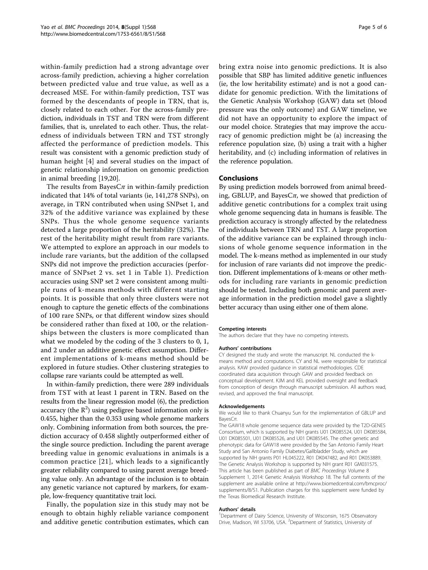within-family prediction had a strong advantage over across-family prediction, achieving a higher correlation between predicted value and true value, as well as a decreased MSE. For within-family prediction, TST was formed by the descendants of people in TRN, that is, closely related to each other. For the across-family prediction, individuals in TST and TRN were from different families, that is, unrelated to each other. Thus, the relatedness of individuals between TRN and TST strongly affected the performance of prediction models. This result was consistent with a genomic prediction study of human height [[4\]](#page-5-0) and several studies on the impact of genetic relationship information on genomic prediction in animal breeding [\[19,20\]](#page-5-0).

The results from Bayes $C_{\pi}$  in within-family prediction indicated that 14% of total variants (ie, 141,278 SNPs), on average, in TRN contributed when using SNPset 1, and 32% of the additive variance was explained by these SNPs. Thus the whole genome sequence variants detected a large proportion of the heritability (32%). The rest of the heritability might result from rare variants. We attempted to explore an approach in our models to include rare variants, but the addition of the collapsed SNPs did not improve the prediction accuracies (performance of SNPset 2 vs. set 1 in Table [1](#page-3-0)). Prediction accuracies using SNP set 2 were consistent among multiple runs of k-means methods with different starting points. It is possible that only three clusters were not enough to capture the genetic effects of the combinations of 100 rare SNPs, or that different window sizes should be considered rather than fixed at 100, or the relationships between the clusters is more complicated than what we modeled by the coding of the 3 clusters to 0, 1, and 2 under an additive genetic effect assumption. Different implementations of k-means method should be explored in future studies. Other clustering strategies to collapse rare variants could be attempted as well.

In within-family prediction, there were 289 individuals from TST with at least 1 parent in TRN. Based on the results from the linear regression model (6), the prediction accuracy (the  $R^2$ ) using pedigree based information only is 0.455, higher than the 0.353 using whole genome markers only. Combining information from both sources, the prediction accuracy of 0.458 slightly outperformed either of the single source prediction. Including the parent average breeding value in genomic evaluations in animals is a common practice [[21](#page-5-0)], which leads to a significantly greater reliability compared to using parent average breeding value only. An advantage of the inclusion is to obtain any genetic variance not captured by markers, for example, low-frequency quantitative trait loci.

Finally, the population size in this study may not be enough to obtain highly reliable variance component and additive genetic contribution estimates, which can bring extra noise into genomic predictions. It is also possible that SBP has limited additive genetic influences (ie, the low heritability estimate) and is not a good candidate for genomic prediction. With the limitations of the Genetic Analysis Workshop (GAW) data set (blood pressure was the only outcome) and GAW timeline, we did not have an opportunity to explore the impact of our model choice. Strategies that may improve the accuracy of genomic prediction might be (a) increasing the reference population size, (b) using a trait with a higher heritability, and (c) including information of relatives in the reference population.

## Conclusions

By using prediction models borrowed from animal breeding, GBLUP, and Bayes $C_{\pi}$ , we showed that prediction of additive genetic contributions for a complex trait using whole genome sequencing data in humans is feasible. The prediction accuracy is strongly affected by the relatedness of individuals between TRN and TST. A large proportion of the additive variance can be explained through inclusions of whole genome sequence information in the model. The k-means method as implemented in our study for inclusion of rare variants did not improve the prediction. Different implementations of k-means or other methods for including rare variants in genomic prediction should be tested. Including both genomic and parent average information in the prediction model gave a slightly better accuracy than using either one of them alone.

#### Competing interests

The authors declare that they have no competing interests.

#### Authors' contributions

CY designed the study and wrote the manuscript. NL conducted the kmeans method and computations. CY and NL were responsible for statistical analysis. KAW provided guidance in statistical methodologies. CDE coordinated data acquisition through GAW and provided feedback on conceptual development. KJM and KEL provided oversight and feedback from conception of design through manuscript submission. All authors read, revised, and approved the final manuscript.

#### Acknowledgements

We would like to thank Chuanyu Sun for the implementation of GBLUP and BayesCπ.

The GAW18 whole genome sequence data were provided by the T2D-GENES Consortium, which is supported by NIH grants U01 DK085524, U01 DK085584, U01 DK085501, U01 DK085526, and U01 DK085545. The other genetic and phenotypic data for GAW18 were provided by the San Antonio Family Heart Study and San Antonio Family Diabetes/Gallbladder Study, which are supported by NIH grants P01 HL045222, R01 DK047482, and R01 DK053889. The Genetic Analysis Workshop is supported by NIH grant R01 GM031575. This article has been published as part of BMC Proceedings Volume 8 Supplement 1, 2014: Genetic Analysis Workshop 18. The full contents of the supplement are available online at [http://www.biomedcentral.com/bmcproc/](http://www.biomedcentral.com/bmcproc/supplements/8/S1) [supplements/8/S1.](http://www.biomedcentral.com/bmcproc/supplements/8/S1) Publication charges for this supplement were funded by the Texas Biomedical Research Institute.

#### Authors' details <sup>1</sup>

<sup>1</sup>Department of Dairy Science, University of Wisconsin, 1675 Observatory Drive, Madison, WI 53706, USA. <sup>2</sup>Department of Statistics, University of